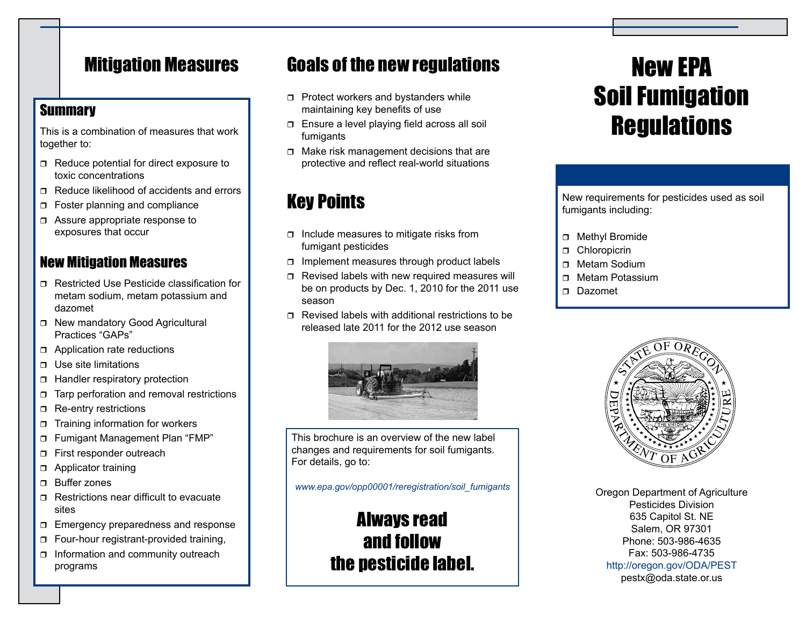# Mitigation Measures

### **Summary**

This is a combination of measures that work together to:

- $\Box$  Reduce potential for direct exposure to toxic concentrations
- $\Box$  Reduce likelihood of accidents and errors
- □ Foster planning and compliance
- □ Assure appropriate response to exposures that occur

## New Mitigation Measures

- Restricted Use Pesticide classification for metam sodium, metam potassium and dazomet
- □ New mandatory Good Agricultural Practices "GAPs"
- □ Application rate reductions
- $\Box$  Use site limitations
- □ Handler respiratory protection
- $\Box$  Tarp perforation and removal restrictions
- Re-entry restrictions
- $\Box$  Training information for workers
- Fumigant Management Plan "FMP"
- First responder outreach
- **D** Applicator training
- **n** Buffer zones
- $\Box$  Restrictions near difficult to evacuate sites
- $\Box$  Emergency preparedness and response
- Four-hour registrant-provided training,
- $\Box$  Information and community outreach programs

# Goals of the new regulations

- $\Box$  Protect workers and bystanders while maintaining key benefits of use
- Ensure a level playing field across all soil fumigants
- $\Box$  Make risk management decisions that are protective and reflect real-world situations

# Key Points

- $\Box$  Include measures to mitigate risks from fumigant pesticides
- $\Box$  Implement measures through product labels
- $\Box$  Revised labels with new required measures will be on products by Dec. 1, 2010 for the 2011 use season
- $\Box$  Revised labels with additional restrictions to be released late 2011 for the 2012 use season



This brochure is an overview of the new label changes and requirements for soil fumigants. For details, go to:

#### *www.epa.gov/opp00001/reregistration/soil\_fumigants*

# Always read and follow the pesticide label.

# New EPA Soil Fumigation **Regulations**

New requirements for pesticides used as soil fumigants including:

- □ Methyl Bromide
- **D** Chloropicrin
- Metam Sodium
- $\Box$  Metam Potassium
- Dazomet



Oregon Department of Agriculture Pesticides Division 635 Capitol St. NE Salem, OR 97301 Phone: 503-986-4635 Fax: 503-986-4735 http://oregon.gov/ODA/PEST pestx@oda.state.or.us